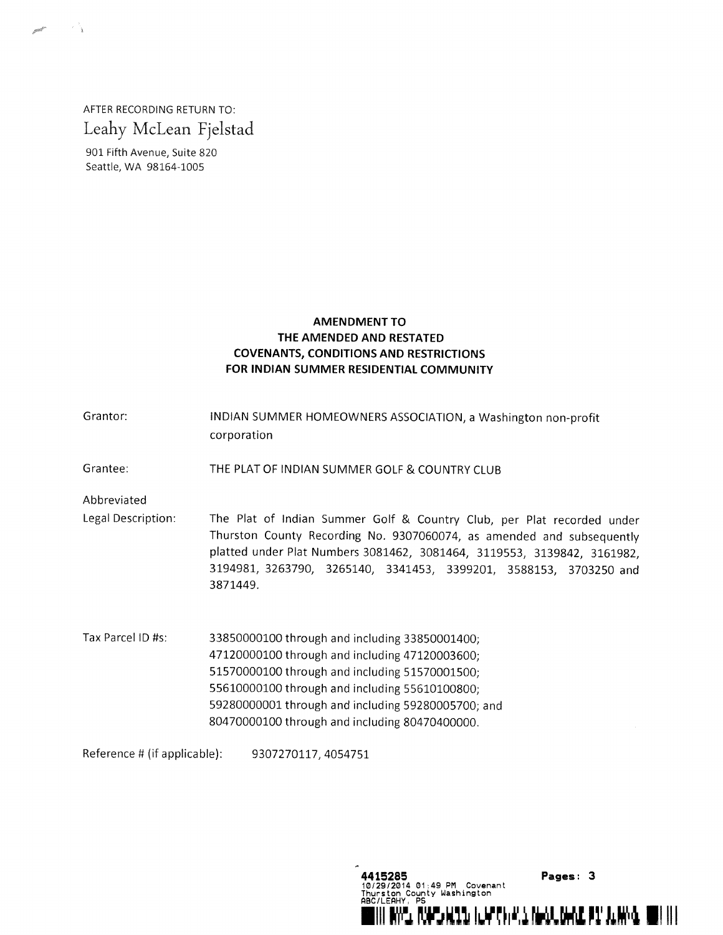AFTER RECORDING RETURN TO: Leahy McLean Fjelstad

901 Fifth Avenue, Suite 820 Seattle, WA 98164-1005

## AMENDMENT TO THE AMENDED AND RESTATED COVENANTS, CONDITIONS AND RESTRICTIONS FOR INDIAN SUMMER RESIDENTIAL COMMUNITY

Grantor: INDIAN SUMMER HOMEOWNERS ASSOCIATION, <sup>a</sup> Washington non-profit Corporation

Grantee: THE PLAT OF INDIAN SUMMER GOLF & COUNTRY CLUB

Abbreviated

Legal Description: The Plat of Indian Summer Golf & Country Club, per Plat recorded under Thurston County Recording No. 9307060074, as amended and subsequently platted under Plat Numbers 3081462, 3081464, 3119553, 3139842, 3161982, 3194981, 3263790, 3265140, 3341453, 3399201, 3588153, 3703250 and 3871449.

ABC/LEAHY, PS

**Pages: 3**<br>01:49 PM Covenant **Covenant** Washington

RING WITH ILLY THE ALL MODEL OF THE PIT ALLING. WITH IT

Tax Parcel ID #s: 33850000100 through and including 33850001400; through and including 47120003600; through and including 51570001500; through and including 55610100800; through and including 59280005700; and through and including 80470400000.

Reference # (if applicable): 9307270117, 4054751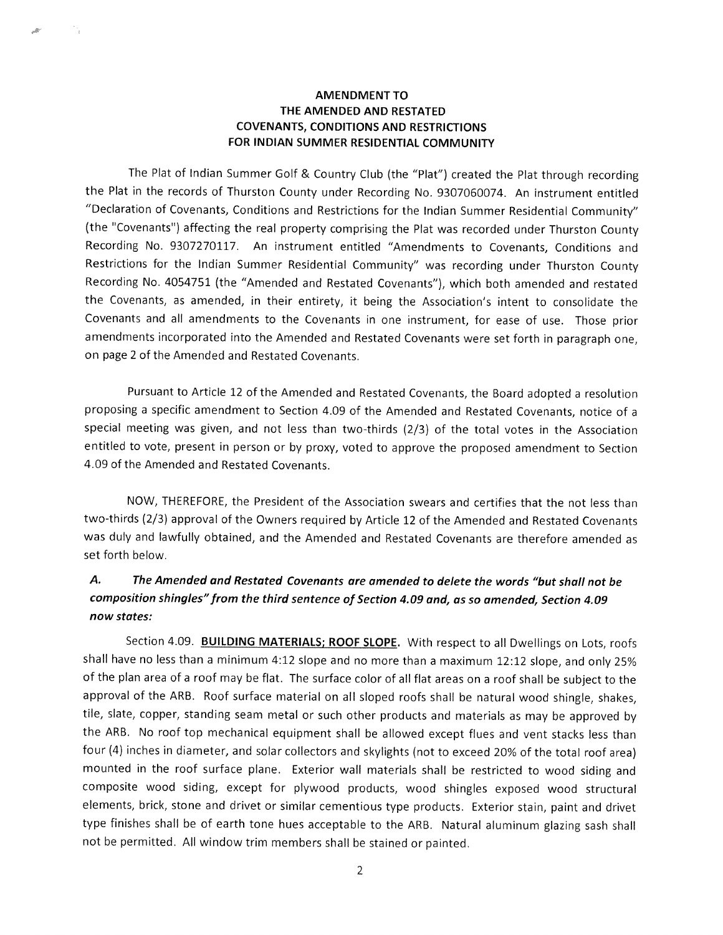## AMENDMENT TO THE AMENDED AND RESTATED COVENANTS, CONDITIONS AND RESTRICTIONS FOR INDIAN SUMMER RESIDENTIAL COMMUNITY

The Plat of Indian Summer Golf & Country Club (the "Plat") created the Plat through recording the Plat in the records of Thurston County under Recording No. 9307060074. An instrument entitled "Declaration of Covenants, Conditions and Restrictions for the Indian Summer Residential Community" (the "Covenants') affecting the real property comprising the Plat was recorded under Thurston County Recording No. 9307270117. An instrument entitled "Amendments to Covenants, Conditions and Restrictions for the Indian Summer Residential Community" was recording under Thurston County Recording No. 4054751 (the "Amended and Restated Covenants"), which both amended and restated the Covenants, as amended, in their entirety, it being the Association's intent to consolidate the Covenants and all amendments to the Covenants in one instrument, for ease of use. Those prior amendments incorporated into the Amended and Restated Covenants were set forth in paragraph one, on page <sup>2</sup> of the Amended and Restated Covenants.

Pursuant to Article <sup>12</sup> of the Amended and Restated Covenants, the Board adopted <sup>a</sup> resolution proposing <sup>a</sup> specific amendment to Section 4.09 of the Amended and Restated Covenants, notice of <sup>a</sup> special meeting was given, and not less than two-thirds (2/3) of the total votes in the Association entitled to vote, present in person or by proxy, voted to approve the proposed amendment to Section 4.09 of the Amended and Restated Covenants.

NOW, THEREFORE, the President of the Association swears and certifies that the not less than two-thirds (2/3) approval of the Owners required by Article <sup>12</sup> of the Amended and Restated Covenants was duly and lawfully obtained, and the Amended and Restated Covenants are therefore amended as set forth below.

## A. The Amended and Restated Covenants are amended to delete the words "but shall not be composition shingles"from the third sentence of Section 4.09 and, as so amended, Section 4.09 now states:

Section 4.09. **BUILDING MATERIALS; ROOF SLOPE.** With respect to all Dwellings on Lots, roofs shall have no less than <sup>a</sup> minimum 4:12 slope and no more than <sup>a</sup> maximum 12:12 slope, and only 25% of the plan area of <sup>a</sup> roof may be flat. The surface color of all flat areas on <sup>a</sup> roof shall be subject to the approval of the ARB. Roof surface material on all sloped roofs shall be natural wood shingle, shakes, tile, slate, copper, standing seam metal or such other products and materials as may be approved by the ARB. No roof top mechanical equipment shall be allowed except flues and vent stacks less than four (4) inches in diameter, and solar collectors and skylights (not to exceed 20% of the total roof area) mounted in the roof surface plane. Exterior wall materials shall be restricted to wood siding and composite wood siding, except for plywood products, wood shingles exposed wood structural elements, brick, stone and drivet or similar cementious type products. Exterior stain, paint and drivet type finishes shall be of earth tone hues acceptable to the ARB. Natural aluminum glazing sash shall not be permitted. All window trim members shall be stained or painted.